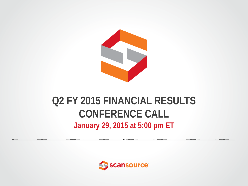

#### **Q2 FY 2015 FINANCIAL RESULTS CONFERENCE CALL January 29, 2015 at 5:00 pm ET**

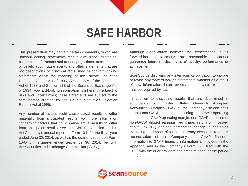## **SAFE HARBOR**

This presentation may contain certain comments, which are "forward-looking" statements that involve plans, strategies, economic performance and trends, projections, expectations, or beliefs about future events and other statements that are not descriptions of historical facts, may be forward-looking statements within the meaning of the Private Securities Litigation Reform Act of 1995, Section 27A of the Securities Act of 1933 and Section 21E of the Securities Exchange Act of 1934. Forward-looking information is inherently subject to risks and uncertainties; these statements are subject to the safe harbor created by the Private Securities Litigation Reform Act of 1995.

Any number of factors could cause actual results to differ materially from anticipated results. For more information concerning factors that could cause actual results to differ from anticipated results, see the "Risk Factors" included in the Company's annual report on Form 10-K for the fiscal year ended June 30, 2014, as well as the quarterly report on Form 10-Q for the quarter ended September 30, 2014, filed with the Securities and Exchange Commission ("SEC").

Although ScanSource believes the expectations in its forward-looking statements are reasonable, it cannot guarantee future results, levels of activity, performance or achievement.

ScanSource disclaims any intentions or obligation to update or revise any forward-looking statements, whether as a result of new information, future events, or otherwise, except as may be required by law.

In addition to disclosing results that are determined in accordance with United States Generally Accepted Accounting Principles ("GAAP"), the Company also discloses certain non-GAAP measures, including non-GAAP operating income, non-GAAP operating margin, non-GAAP net income, non-GAAP diluted earnings per share, return on invested capital ("ROIC") and the percentage change in net sales excluding the impact of foreign currency exchange rates. A reconciliation of the Company's non-GAAP financial information to GAAP financial information is provided in the Appendix and in the Company's Form 8-K, filed with the SEC, with the quarterly earnings press release for the period indicated.

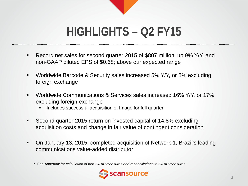

## **HIGHLIGHTS – Q2 FY15**

- Record net sales for second quarter 2015 of \$807 million, up 9% Y/Y, and non-GAAP diluted EPS of \$0.68; above our expected range
- Worldwide Barcode & Security sales increased 5% Y/Y, or 8% excluding foreign exchange
- Worldwide Communications & Services sales increased 16% Y/Y, or 17% excluding foreign exchange
	- Includes successful acquisition of Imago for full quarter
- Second quarter 2015 return on invested capital of 14.8% excluding acquisition costs and change in fair value of contingent consideration
- On January 13, 2015, completed acquisition of Network 1, Brazil's leading communications value-added distributor

*<sup>\*</sup> See Appendix for calculation of non-GAAP measures and reconciliations to GAAP measures.*

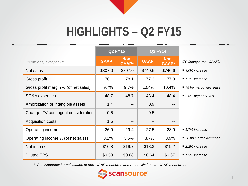# **HIGHLIGHTS – Q2 FY15**

|                                      | <b>Q2 FY15</b> |                      | <b>Q2 FY14</b>           |                   |                              |
|--------------------------------------|----------------|----------------------|--------------------------|-------------------|------------------------------|
| In millions, except EPS              | <b>GAAP</b>    | Non-<br><b>GAAP*</b> | <b>GAAP</b>              | Non-<br>GAAP*     | Y/Y Change (non-GAAP):       |
| Net sales                            | \$807.0        | \$807.0              | \$740.6                  | \$740.6           | ■ 9.0% increase              |
| Gross profit                         | 78.1           | 78.1                 | 77.3                     | 77.3              | $\blacksquare$ 1.1% increase |
| Gross profit margin % (of net sales) | 9.7%           | 9.7%                 | 10.4%                    | 10.4%             | ■ 75 bp margin decrease      |
| SG&A expenses                        | 48.7           | 48.7                 | 48.4                     | 48.4              | ■ 0.8% higher SG&A           |
| Amortization of intangible assets    | 1.4            | $- -$                | 0.9                      | $- -$             |                              |
| Change, FV contingent consideration  | 0.5            | --                   | 0.5                      | $\qquad \qquad -$ |                              |
| <b>Acquisition costs</b>             | 1.5            | --                   | $\overline{\phantom{a}}$ | $\qquad \qquad -$ |                              |
| Operating income                     | 26.0           | 29.4                 | 27.5                     | 28.9              | ■ 1.7% increase              |
| Operating income % (of net sales)    | 3.2%           | 3.6%                 | 3.7%                     | 3.9%              | ■ 26 bp margin decrease      |
| Net income                           | \$16.8         | \$19.7               | \$18.3                   | \$19.2            | $\blacksquare$ 2.2% increase |
| <b>Diluted EPS</b>                   | \$0.58         | \$0.68               | \$0.64                   | \$0.67            | $\blacksquare$ 1.5% increase |

*\* See Appendix for calculation of non-GAAP measures and reconciliations to GAAP measures.*

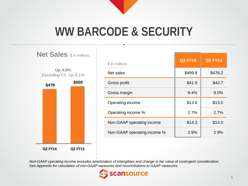

## **WW BARCODE & SECURITY**



| $$$ in millions             | <b>Q2 FY15</b> | <b>Q2 FY14</b> |
|-----------------------------|----------------|----------------|
| Net sales                   | \$499.8        | \$476.2        |
| Gross profit                | \$41.9         | \$42.7         |
| Gross margin                | 8.4%           | $9.0\%$        |
| Operating income            | \$13.6         | \$13.0         |
| Operating income %          | 2.7%           | 2.7%           |
| Non-GAAP operating income   | \$14.3         | \$14.0         |
| Non-GAAP operating income % | 2.9%           | 2.9%           |

*Non-GAAP operating income excludes amortization of intangibles and change in fair value of contingent consideration. See Appendix for calculation of non-GAAP measures and reconciliations to GAAP measures.*

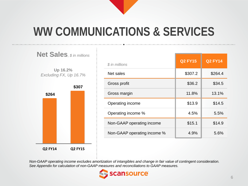

## **WW COMMUNICATIONS & SERVICES**



| \$ in millions              | <b>Q2 FY15</b> | <b>Q2 FY14</b> |
|-----------------------------|----------------|----------------|
| Net sales                   | \$307.2        | \$264.4        |
| Gross profit                | \$36.2         | \$34.5         |
| Gross margin                | 11.8%          | 13.1%          |
| Operating income            | \$13.9         | \$14.5         |
| Operating income %          | 4.5%           | 5.5%           |
| Non-GAAP operating income   | \$15.1         | \$14.9         |
| Non-GAAP operating income % | 4.9%           | 5.6%           |

*Non-GAAP operating income excludes amortization of intangibles and change in fair value of contingent consideration. See Appendix for calculation of non-GAAP measures and reconciliations to GAAP measures.*

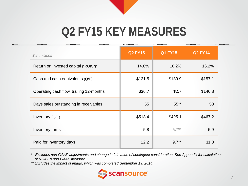

## **Q2 FY15 KEY MEASURES**

| $$$ in millions                         | <b>Q2 FY15</b> | <b>Q1 FY15</b> | <b>Q2 FY14</b> |
|-----------------------------------------|----------------|----------------|----------------|
| Return on invested capital ("ROIC")*    | 14.8%          | 16.2%          | 16.2%          |
| Cash and cash equivalents $(Q/E)$       | \$121.5        | \$139.9        | \$157.1        |
| Operating cash flow, trailing 12-months | \$36.7         | \$2.7          | \$140.8        |
| Days sales outstanding in receivables   | 55             | $55***$        | 53             |
| Inventory (Q/E)                         | \$518.4        | \$495.1        | \$467.2        |
| Inventory turns                         | 5.8            | $5.7**$        | 5.9            |
| Paid for inventory days                 | 12.2           | $9.7**$        | 11.3           |

*\* Excludes non-GAAP adjustments and change in fair value of contingent consideration. See Appendix for calculation of ROIC, a non-GAAP measure.*

*\*\* Excludes the impact of Imago, which was completed September 19, 2014.*

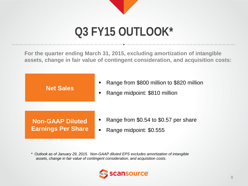# **Q3 FY15 OUTLOOK\***

**For the quarter ending March 31, 2015, excluding amortization of intangible assets, change in fair value of contingent consideration, and acquisition costs:**



*\* Outlook as of January 29, 2015. Non-GAAP diluted EPS excludes amortization of intangible assets, change in fair value of contingent consideration, and acquisition costs.* 

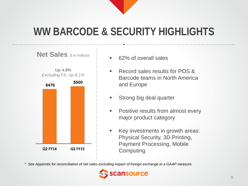

### **WW BARCODE & SECURITY HIGHLIGHTS**



- 62% of overall sales
- Record sales results for POS & Barcode teams in North America and Europe
- Strong big deal quarter
- **Positive results from almost every** major product category
- Key investments in growth areas: Physical Security, 3D Printing, Payment Processing, Mobile Computing

*\* See Appendix for reconciliation of net sales excluding impact of foreign exchange to a GAAP measure.*

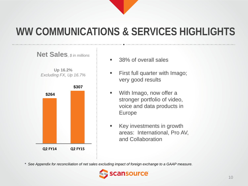#### **WW COMMUNICATIONS & SERVICES HIGHLIGHTS**



- 38% of overall sales
- **First full quarter with Imago;** very good results
- With Imago, now offer a stronger portfolio of video, voice and data products in Europe
- **Key investments in growth** areas: International, Pro AV, and Collaboration

*\* See Appendix for reconciliation of net sales excluding impact of foreign exchange to a GAAP measure.*

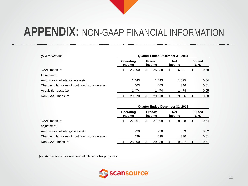| (\$ in thousands)                                | <b>Quarter Ended December 31, 2014</b> |                            |    |                   |    |                      |            |                |  |
|--------------------------------------------------|----------------------------------------|----------------------------|----|-------------------|----|----------------------|------------|----------------|--|
|                                                  |                                        | Operating<br><b>Income</b> |    | Pre-tax<br>income |    | <b>Net</b><br>income | <b>EPS</b> | <b>Diluted</b> |  |
| GAAP measure                                     | \$                                     | 25,990                     | \$ | 25,938            | \$ | 16.821               | \$         | 0.58           |  |
| Adjustment:                                      |                                        |                            |    |                   |    |                      |            |                |  |
| Amortization of intangible assets                |                                        | 1.443                      |    | 1.443             |    | 1.025                |            | 0.04           |  |
| Change in fair value of contingent consideration |                                        | 463                        |    | 463               |    | 346                  |            | 0.01           |  |
| Acquisition costs (a)                            |                                        | 1.474                      |    | 1.474             |    | 1.474                |            | 0.05           |  |
| Non-GAAP measure                                 |                                        | 29,370                     |    | 29.318            |    | 19.666               |            | 0.68           |  |

|                                                  | <b>Quarter Ended December 31, 2013</b> |                            |    |                   |    |                      |                              |      |
|--------------------------------------------------|----------------------------------------|----------------------------|----|-------------------|----|----------------------|------------------------------|------|
|                                                  |                                        | Operating<br><b>Income</b> |    | Pre-tax<br>income |    | <b>Net</b><br>income | <b>Diluted</b><br><b>EPS</b> |      |
| <b>GAAP</b> measure                              | \$                                     | 27.461                     | \$ | 27,809            | \$ | 18.298               | \$                           | 0.64 |
| Adjustment:                                      |                                        |                            |    |                   |    |                      |                              |      |
| Amortization of intangible assets                |                                        | 930                        |    | 930               |    | 609                  |                              | 0.02 |
| Change in fair value of contingent consideration |                                        | 499                        |    | 499               |    | 330                  |                              | 0.01 |
| Non-GAAP measure                                 |                                        | 28,890                     |    | 29,238            |    | 19.237               |                              | 0.67 |

(a) Acquisition costs are nondeductible for tax purposes.

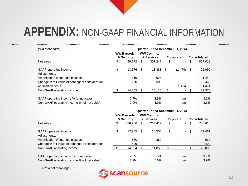| (\$ in thousands)                                | <b>Quarter Ended December 31, 2014</b> |                                 |                                |         |           |          |    |                     |  |  |
|--------------------------------------------------|----------------------------------------|---------------------------------|--------------------------------|---------|-----------|----------|----|---------------------|--|--|
|                                                  |                                        | <b>WW Barcode</b><br>& Security | <b>WW Comms.</b><br>& Services |         | Corporate |          |    | <b>Consolidated</b> |  |  |
| Net sales                                        | \$                                     | 499.772                         | \$                             | 307.247 | \$        | ۰.       | \$ | 807,019             |  |  |
| GAAP operating income<br>Adjustments:            | \$                                     | 13.576                          | -S                             | 13,888  | -\$       | (1, 474) | \$ | 25,990              |  |  |
| Amortization of intangible assets                |                                        | 519                             |                                | 924     |           |          |    | 1,443               |  |  |
| Change in fair value of contingent consideration |                                        | 160                             |                                | 303     |           |          |    | 463                 |  |  |
| Acquisition costs                                |                                        |                                 |                                |         |           | 1.474    |    | 1,474               |  |  |
| Non-GAAP operating income                        |                                        | 14,255                          |                                | 15,115  |           |          |    | 29,370              |  |  |
| GAAP operating income % (of net sales)           |                                        | 2.7%                            |                                | 4.5%    |           | n/m      |    | 3.2%                |  |  |
| Non-GAAP operating income % (of net sales)       |                                        | 2.9%                            |                                | 4.9%    |           | n/m      |    | 3.6%                |  |  |

|                                                  | <b>Quarter Ended December 31, 2013</b> |                                 |    |                                |           |                          |                     |         |  |  |  |
|--------------------------------------------------|----------------------------------------|---------------------------------|----|--------------------------------|-----------|--------------------------|---------------------|---------|--|--|--|
|                                                  |                                        | <b>WW Barcode</b><br>& Security |    | <b>WW Comms.</b><br>& Services | Corporate |                          | <b>Consolidated</b> |         |  |  |  |
| Net sales                                        | \$                                     | 476.206                         | \$ | 264.412                        | \$        | $\overline{\phantom{0}}$ | \$                  | 740,618 |  |  |  |
| GAAP operating income<br>Adjustments:            | \$                                     | 12.955                          | S  | 14.506                         | \$        | $\sim$                   | \$                  | 27,461  |  |  |  |
| Amortization of intangible assets                |                                        | 580                             |    | 350                            |           |                          |                     | 930     |  |  |  |
| Change in fair value of contingent consideration |                                        | 499                             |    | $\overline{\phantom{0}}$       |           |                          |                     | 499     |  |  |  |
| Non-GAAP operating income                        |                                        | 14,034                          |    | 14.856                         |           |                          |                     | 28,890  |  |  |  |
| GAAP operating income % (of net sales)           |                                        | 2.7%                            |    | 5.5%                           |           | n/m                      |                     | 3.7%    |  |  |  |
| Non-GAAP operating income % (of net sales)       |                                        | 2.9%                            |    | 5.6%                           |           | n/m                      |                     | 3.9%    |  |  |  |

 $n/m = not meaningful$ 

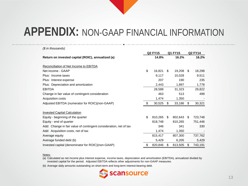| (\$ in thousands)                                                 |                           |    |         |    |         |
|-------------------------------------------------------------------|---------------------------|----|---------|----|---------|
|                                                                   | <b>Q2 FY15</b><br>Q1 FY15 |    | Q2 FY14 |    |         |
| Return on invested capital (ROIC), annualized (a)                 | 14.8%                     |    | 16.2%   |    | 16.2%   |
| Reconciliation of Net Income to EBITDA                            |                           |    |         |    |         |
| Net income - GAAP                                                 | \$<br>16,821              | S. | 19,208  | S. | 18,298  |
| Plus: Income taxes                                                | 9,117                     |    | 10,028  |    | 9,511   |
| Plus: Interest expense                                            | 207                       |    | 190     |    | 235     |
| Plus: Depreciation and amortization                               | 2,443                     |    | 1,897   |    | 1,778   |
| <b>EBITDA</b>                                                     | 28,588                    |    | 31,323  |    | 29,822  |
| Change in fair value of contingent consideration                  | 463                       |    | 513     |    | 499     |
| Acquisition costs                                                 | 1,474                     |    | 1,350   |    |         |
| Adjusted EBITDA (numerator for ROIC)(non-GAAP)                    | \$<br>30,525              | \$ | 33,186  | \$ | 30,321  |
| <b>Invested Capital Calculation</b>                               |                           |    |         |    |         |
| Equity - beginning of the quarter                                 | \$<br>810,265             | \$ | 802,643 | S  | 723,748 |
| Equity - end of quarter                                           | 818,748                   |    | 810,265 |    | 751,446 |
| Add: Change in fair value of contingent consideration, net of tax | 346                       |    | 341     |    | 330     |
| Add: Acquisition costs, net of tax                                | 1,474                     |    | 1,350   |    |         |
| Average equity                                                    | 815,417                   |    | 807,300 |    | 737,762 |
| Average funded debt (b)                                           | 5,429                     |    | 6,205   |    | 5,429   |
| Invested capital (denominator for ROIC)(non-GAAP)                 | \$<br>820,846             | \$ | 813,505 | \$ | 743,191 |

#### Notes:

(a) Calculated as net income plus interest expense, income taxes, depreciation and amortization (EBITDA), annualized divided by invested capital for the period. Adjusted EBITDA reflects other adjustments for non-GAAP measures.

(b) Average daily amounts outstanding on short-term and long-term interest-bearing debt.